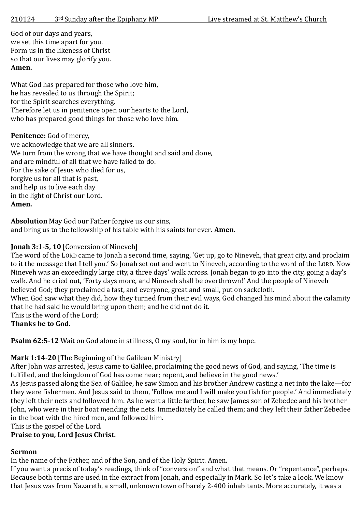God of our days and years, we set this time apart for you. Form us in the likeness of Christ so that our lives may glorify you. **Amen.**

What God has prepared for those who love him, he has revealed to us through the Spirit; for the Spirit searches everything. Therefore let us in penitence open our hearts to the Lord, who has prepared good things for those who love him.

## Penitence: God of mercy,

we acknowledge that we are all sinners. We turn from the wrong that we have thought and said and done, and are mindful of all that we have failed to do. For the sake of Jesus who died for us. forgive us for all that is past, and help us to live each day in the light of Christ our Lord. **Amen.**

**Absolution** May God our Father forgive us our sins, and bring us to the fellowship of his table with his saints for ever. **Amen**.

# **Jonah 3:1-5, 10** [Conversion of Nineveh]

The word of the LORD came to Jonah a second time, saying, 'Get up, go to Nineveh, that great city, and proclaim to it the message that I tell you.' So Jonah set out and went to Nineveh, according to the word of the LORD. Now Nineveh was an exceedingly large city, a three days' walk across. Jonah began to go into the city, going a day's walk. And he cried out, 'Forty days more, and Nineveh shall be overthrown!' And the people of Nineveh believed God; they proclaimed a fast, and everyone, great and small, put on sackcloth.

When God saw what they did, how they turned from their evil ways, God changed his mind about the calamity that he had said he would bring upon them; and he did not do it.

This is the word of the Lord;

# **Thanks be to God.**

**Psalm 62:5-12** Wait on God alone in stillness, O my soul, for in him is my hope.

# **Mark 1:14-20** [The Beginning of the Galilean Ministry]

After John was arrested, Jesus came to Galilee, proclaiming the good news of God, and saying, 'The time is fulfilled, and the kingdom of God has come near; repent, and believe in the good news.'

As Jesus passed along the Sea of Galilee, he saw Simon and his brother Andrew casting a net into the lake—for they were fishermen. And Jesus said to them, 'Follow me and I will make you fish for people.' And immediately they left their nets and followed him. As he went a little farther, he saw James son of Zebedee and his brother John, who were in their boat mending the nets. Immediately he called them; and they left their father Zebedee in the boat with the hired men, and followed him.

This is the gospel of the Lord.

#### **Praise to you, Lord Jesus Christ.**

# **Sermon**

In the name of the Father, and of the Son, and of the Holy Spirit. Amen.

If you want a precis of today's readings, think of "conversion" and what that means. Or "repentance", perhaps. Because both terms are used in the extract from Jonah, and especially in Mark. So let's take a look. We know that Jesus was from Nazareth, a small, unknown town of barely 2-400 inhabitants. More accurately, it was a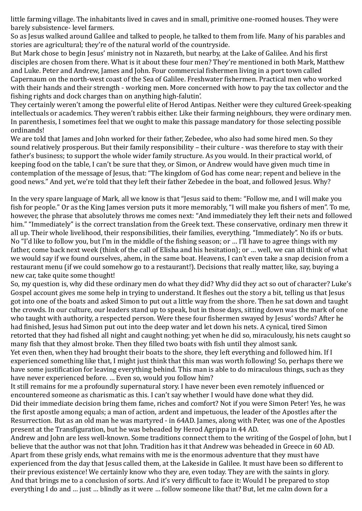little farming village. The inhabitants lived in caves and in small, primitive one-roomed houses. They were barely subsistence- level farmers.

So as Jesus walked around Galilee and talked to people, he talked to them from life. Many of his parables and stories are agricultural; they're of the natural world of the countryside.

But Mark chose to begin Jesus' ministry not in Nazareth, but nearby, at the Lake of Galilee. And his first disciples are chosen from there. What is it about these four men? They're mentioned in both Mark, Matthew and Luke. Peter and Andrew, James and John. Four commercial fishermen living in a port town called Capernaum on the north-west coast of the Sea of Galilee. Freshwater fishermen. Practical men who worked with their hands and their strength - working men. More concerned with how to pay the tax collector and the fishing rights and dock charges than on anything high-falutin'.

They certainly weren't among the powerful elite of Herod Antipas. Neither were they cultured Greek-speaking intellectuals or academics. They weren't rabbis either. Like their farming neighbours, they were ordinary men. In parenthesis, I sometimes feel that we ought to make this passage mandatory for those selecting possible ordinands!

We are told that James and John worked for their father, Zebedee, who also had some hired men. So they sound relatively prosperous. But their family responsibility – their culture - was therefore to stay with their father's business; to support the whole wider family structure. As you would. In their practical world, of keeping food on the table, I can't be sure that they, or Simon, or Andrew would have given much time in contemplation of the message of Jesus, that: "The kingdom of God has come near; repent and believe in the good news." And yet, we're told that they left their father Zebedee in the boat, and followed Jesus. Why?

In the very spare language of Mark, all we know is that "Jesus said to them: "Follow me, and I will make you fish for people." Or as the King James version puts it more memorably, "I will make you fishers of men". To me, however, the phrase that absolutely throws me comes next: "And immediately they left their nets and followed him." "Immediately" is the correct translation from the Greek text. These conservative, ordinary men threw it all up. Their whole livelihood, their responsibilities, their families, everything. "Immediately". No ifs or buts. No "I'd like to follow you, but I'm in the middle of the fishing season; or … I'll have to agree things with my father, come back next week (think of the call of Elisha and his hesitation); or … well, we can all think of what we would say if we found ourselves, ahem, in the same boat. Heavens, I can't even take a snap decision from a restaurant menu (if we could somehow go to a restaurant!). Decisions that really matter, like, say, buying a new car, take quite some thought!

So, my question is, why did these ordinary men do what they did? Why did they act so out of character? Luke's Gospel account gives me some help in trying to understand. It fleshes out the story a bit, telling us that Jesus got into one of the boats and asked Simon to put out a little way from the shore. Then he sat down and taught the crowds. In our culture, our leaders stand up to speak, but in those days, sitting down was the mark of one who taught with authority, a respected person. Were these four fishermen swayed by Jesus' words? After he had finished, Jesus had Simon put out into the deep water and let down his nets. A cynical, tired Simon retorted that they had fished all night and caught nothing; yet when he did so, miraculously, his nets caught so many fish that they almost broke. Then they filled two boats with fish until they almost sank.

Yet even then, when they had brought their boats to the shore, they left everything and followed him. If I experienced something like that, I might just think that this man was worth following! So, perhaps there we have some justification for leaving everything behind. This man is able to do miraculous things, such as they have never experienced before. … Even so, would you follow him?

It still remains for me a profoundly supernatural story. I have never been even remotely influenced or encountered someone as charismatic as this. I can't say whether I would have done what they did. Did their immediate decision bring them fame, riches and comfort? Not if you were Simon Peter! Yes, he was the first apostle among equals; a man of action, ardent and impetuous, the leader of the Apostles after the Resurrection. But as an old man he was martyred - in 64AD. James, along with Peter, was one of the Apostles present at the Transfiguration, but he was beheaded by Herod Agrippa in 44 AD.

Andrew and John are less well-known. Some traditions connect them to the writing of the Gospel of John, but I believe that the author was not that John. Tradition has it that Andrew was beheaded in Greece in 60 AD. Apart from these grisly ends, what remains with me is the enormous adventure that they must have experienced from the day that Jesus called them, at the Lakeside in Galilee. It must have been so different to their previous existence! We certainly know who they are, even today. They are with the saints in glory. And that brings me to a conclusion of sorts. And it's very difficult to face it: Would I be prepared to stop everything I do and … just … blindly as it were … follow someone like that? But, let me calm down for a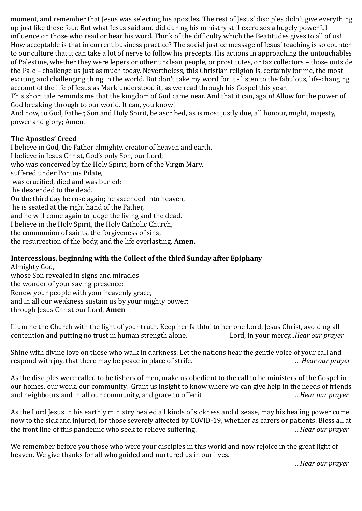moment, and remember that Jesus was selecting his apostles. The rest of Jesus' disciples didn't give everything up just like these four. But what Jesus said and did during his ministry still exercises a hugely powerful influence on those who read or hear his word. Think of the difficulty which the Beatitudes gives to all of us! How acceptable is that in current business practice? The social justice message of Jesus' teaching is so counter to our culture that it can take a lot of nerve to follow his precepts. His actions in approaching the untouchables of Palestine, whether they were lepers or other unclean people, or prostitutes, or tax collectors – those outside the Pale – challenge us just as much today. Nevertheless, this Christian religion is, certainly for me, the most exciting and challenging thing in the world. But don't take my word for it - listen to the fabulous, life-changing account of the life of Jesus as Mark understood it, as we read through his Gospel this year.

This short tale reminds me that the kingdom of God came near. And that it can, again! Allow for the power of God breaking through to our world. It can, you know!

And now, to God, Father, Son and Holy Spirit, be ascribed, as is most justly due, all honour, might, majesty, power and glory; Amen.

#### **The Apostles' Creed**

I believe in God, the Father almighty, creator of heaven and earth. I believe in Jesus Christ, God's only Son, our Lord, who was conceived by the Holy Spirit, born of the Virgin Mary, suffered under Pontius Pilate, was crucified, died and was buried; he descended to the dead. On the third day he rose again; he ascended into heaven, he is seated at the right hand of the Father, and he will come again to judge the living and the dead. I believe in the Holy Spirit, the Holy Catholic Church, the communion of saints, the forgiveness of sins, the resurrection of the body, and the life everlasting. **Amen.** 

#### **Intercessions, beginning with the Collect of the third Sunday after Epiphany** Almighty God,

whose Son revealed in signs and miracles the wonder of your saving presence: Renew your people with your heavenly grace, and in all our weakness sustain us by your mighty power; through Jesus Christ our Lord, **Amen**

Illumine the Church with the light of your truth. Keep her faithful to her one Lord, Jesus Christ, avoiding all contention and putting no trust in human strength alone. Lord, in your mercy..*.Hear our prayer*

Shine with divine love on those who walk in darkness. Let the nations hear the gentle voice of your call and respond with joy, that there may be peace in place of strife. ..*. Hear our prayer*

As the disciples were called to be fishers of men, make us obedient to the call to be ministers of the Gospel in our homes, our work, our community. Grant us insight to know where we can give help in the needs of friends and neighbours and in all our community, and grace to offer it ..*.Hear our prayer*

As the Lord Jesus in his earthly ministry healed all kinds of sickness and disease, may his healing power come now to the sick and injured, for those severely affected by COVID-19, whether as carers or patients. Bless all at the front line of this pandemic who seek to relieve suffering. ..*.Hear our prayer*

We remember before you those who were your disciples in this world and now rejoice in the great light of heaven. We give thanks for all who guided and nurtured us in our lives.

..*.Hear our prayer*